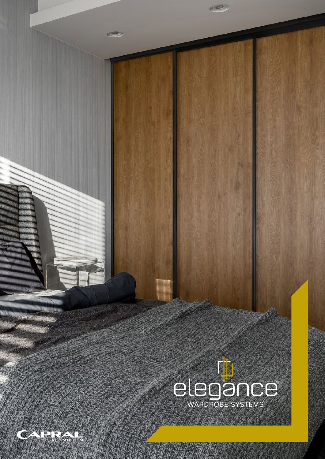

 $(1, 1, 1)$